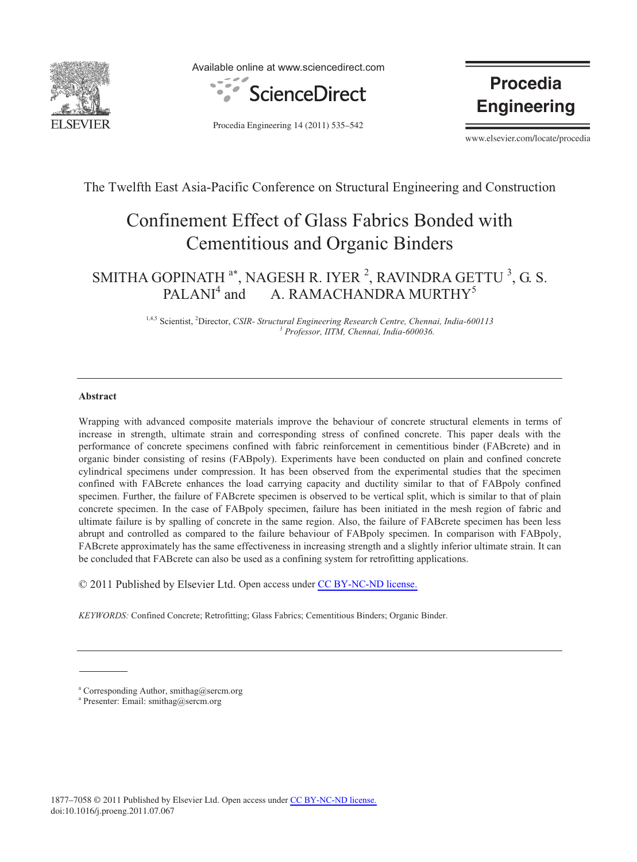

Available online at www.sciencedirect.com



**Procedia Engineering** 

Procedia Engineering 14 (2011) 535–542

www.elsevier.com/locate/procedia

## The Twelfth East Asia-Pacific Conference on Structural Engineering and Construction

# Confinement Effect of Glass Fabrics Bonded with Cementitious and Organic Binders

#### SMITHA GOPINATH  $a^*$ , NAGESH R. IYER <sup>2</sup>, RAVINDRA GETTU <sup>3</sup>, G. S.  $PALANI<sup>4</sup>$  and A. RAMACHANDRA MURTHY<sup>5</sup>

<sup>1,4,5</sup> Scientist, <sup>2</sup>Director, *CSIR- Structural Engineering Research Centre, Chennai, India-600113*<br><sup>3</sup> Professor *ITM Channai India 600036 Professor, IITM, Chennai, India-600036.* 

## **Abstract**

Wrapping with advanced composite materials improve the behaviour of concrete structural elements in terms of increase in strength, ultimate strain and corresponding stress of confined concrete. This paper deals with the performance of concrete specimens confined with fabric reinforcement in cementitious binder (FABcrete) and in organic binder consisting of resins (FABpoly). Experiments have been conducted on plain and confined concrete cylindrical specimens under compression. It has been observed from the experimental studies that the specimen confined with FABcrete enhances the load carrying capacity and ductility similar to that of FABpoly confined specimen. Further, the failure of FABcrete specimen is observed to be vertical split, which is similar to that of plain concrete specimen. In the case of FABpoly specimen, failure has been initiated in the mesh region of fabric and ultimate failure is by spalling of concrete in the same region. Also, the failure of FABcrete specimen has been less abrupt and controlled as compared to the failure behaviour of FABpoly specimen. In comparison with FABpoly, FABcrete approximately has the same effectiveness in increasing strength and a slightly inferior ultimate strain. It can be concluded that FABcrete can also be used as a confining system for retrofitting applications.

© 2011 Published by Elsevier Ltd. Open access under [CC BY-NC-ND license.](http://creativecommons.org/licenses/by-nc-nd/3.0/)

*KEYWORDS:* Confined Concrete; Retrofitting; Glass Fabrics; Cementitious Binders; Organic Binder.

a Corresponding Author, smithag@sercm.org

a Presenter: Email: smithag@sercm.org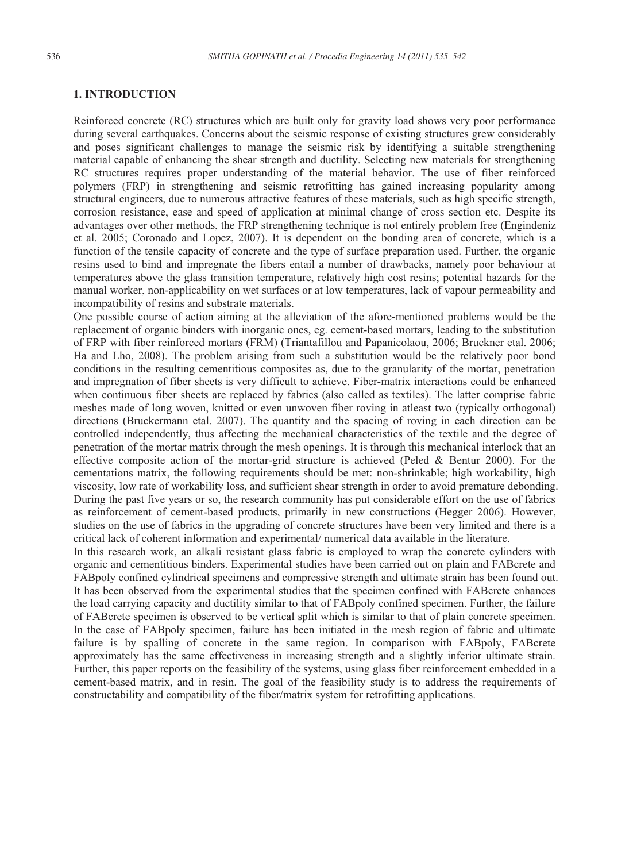#### **1. INTRODUCTION**

Reinforced concrete (RC) structures which are built only for gravity load shows very poor performance during several earthquakes. Concerns about the seismic response of existing structures grew considerably and poses significant challenges to manage the seismic risk by identifying a suitable strengthening material capable of enhancing the shear strength and ductility. Selecting new materials for strengthening RC structures requires proper understanding of the material behavior. The use of fiber reinforced polymers (FRP) in strengthening and seismic retrofitting has gained increasing popularity among structural engineers, due to numerous attractive features of these materials, such as high specific strength, corrosion resistance, ease and speed of application at minimal change of cross section etc. Despite its advantages over other methods, the FRP strengthening technique is not entirely problem free (Engindeniz et al. 2005; Coronado and Lopez, 2007). It is dependent on the bonding area of concrete, which is a function of the tensile capacity of concrete and the type of surface preparation used. Further, the organic resins used to bind and impregnate the fibers entail a number of drawbacks, namely poor behaviour at temperatures above the glass transition temperature, relatively high cost resins; potential hazards for the manual worker, non-applicability on wet surfaces or at low temperatures, lack of vapour permeability and incompatibility of resins and substrate materials.

One possible course of action aiming at the alleviation of the afore-mentioned problems would be the replacement of organic binders with inorganic ones, eg. cement-based mortars, leading to the substitution of FRP with fiber reinforced mortars (FRM) (Triantafillou and Papanicolaou, 2006; Bruckner etal. 2006; Ha and Lho, 2008). The problem arising from such a substitution would be the relatively poor bond conditions in the resulting cementitious composites as, due to the granularity of the mortar, penetration and impregnation of fiber sheets is very difficult to achieve. Fiber-matrix interactions could be enhanced when continuous fiber sheets are replaced by fabrics (also called as textiles). The latter comprise fabric meshes made of long woven, knitted or even unwoven fiber roving in atleast two (typically orthogonal) directions (Bruckermann etal. 2007). The quantity and the spacing of roving in each direction can be controlled independently, thus affecting the mechanical characteristics of the textile and the degree of penetration of the mortar matrix through the mesh openings. It is through this mechanical interlock that an effective composite action of the mortar-grid structure is achieved (Peled & Bentur 2000). For the cementations matrix, the following requirements should be met: non-shrinkable; high workability, high viscosity, low rate of workability loss, and sufficient shear strength in order to avoid premature debonding. During the past five years or so, the research community has put considerable effort on the use of fabrics as reinforcement of cement-based products, primarily in new constructions (Hegger 2006). However, studies on the use of fabrics in the upgrading of concrete structures have been very limited and there is a critical lack of coherent information and experimental/ numerical data available in the literature.

In this research work, an alkali resistant glass fabric is employed to wrap the concrete cylinders with organic and cementitious binders. Experimental studies have been carried out on plain and FABcrete and FABpoly confined cylindrical specimens and compressive strength and ultimate strain has been found out. It has been observed from the experimental studies that the specimen confined with FABcrete enhances the load carrying capacity and ductility similar to that of FABpoly confined specimen. Further, the failure of FABcrete specimen is observed to be vertical split which is similar to that of plain concrete specimen. In the case of FABpoly specimen, failure has been initiated in the mesh region of fabric and ultimate failure is by spalling of concrete in the same region. In comparison with FABpoly, FABcrete approximately has the same effectiveness in increasing strength and a slightly inferior ultimate strain. Further, this paper reports on the feasibility of the systems, using glass fiber reinforcement embedded in a cement-based matrix, and in resin. The goal of the feasibility study is to address the requirements of constructability and compatibility of the fiber/matrix system for retrofitting applications.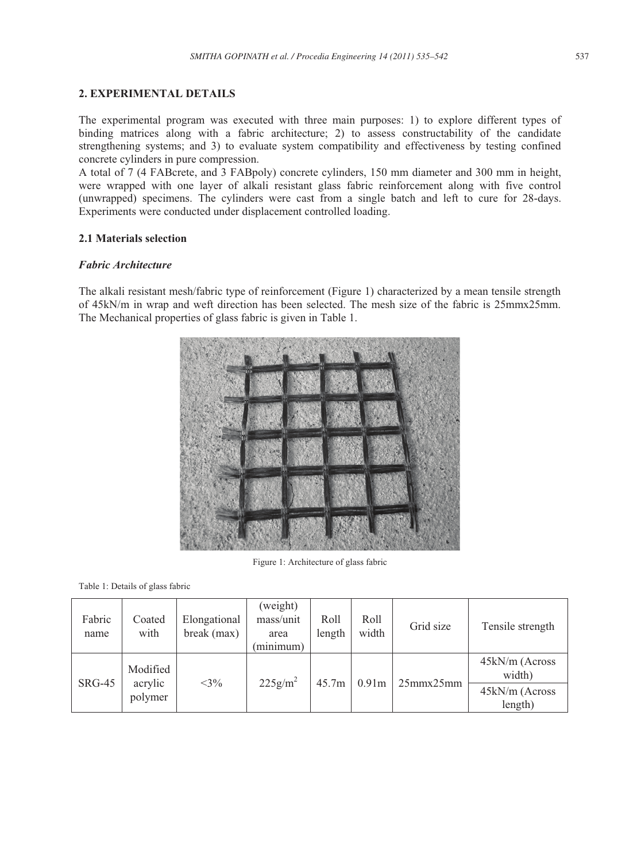## **2. EXPERIMENTAL DETAILS**

The experimental program was executed with three main purposes: 1) to explore different types of binding matrices along with a fabric architecture; 2) to assess constructability of the candidate strengthening systems; and 3) to evaluate system compatibility and effectiveness by testing confined concrete cylinders in pure compression.

A total of 7 (4 FABcrete, and 3 FABpoly) concrete cylinders, 150 mm diameter and 300 mm in height, were wrapped with one layer of alkali resistant glass fabric reinforcement along with five control (unwrapped) specimens. The cylinders were cast from a single batch and left to cure for 28-days. Experiments were conducted under displacement controlled loading.

## **2.1 Materials selection**

## *Fabric Architecture*

The alkali resistant mesh/fabric type of reinforcement (Figure 1) characterized by a mean tensile strength of 45kN/m in wrap and weft direction has been selected. The mesh size of the fabric is 25mmx25mm. The Mechanical properties of glass fabric is given in Table 1.



Figure 1: Architecture of glass fabric

Table 1: Details of glass fabric

| Fabric<br>name | Coated<br>with                 | Elongational<br>break (max) | (weight)<br>mass/unit<br>area<br>(minimum) | Roll<br>length | Roll<br>width     | Grid size        | Tensile strength                           |
|----------------|--------------------------------|-----------------------------|--------------------------------------------|----------------|-------------------|------------------|--------------------------------------------|
| $SRG-45$       | Modified<br>acrylic<br>polymer | $<$ 3%                      | $225 \text{g/m}^2$                         | 45.7m          | 0.91 <sub>m</sub> | $25$ mmx $25$ mm | 45kN/m (Across<br>width)<br>45kN/m (Across |
|                |                                |                             |                                            |                |                   |                  | length)                                    |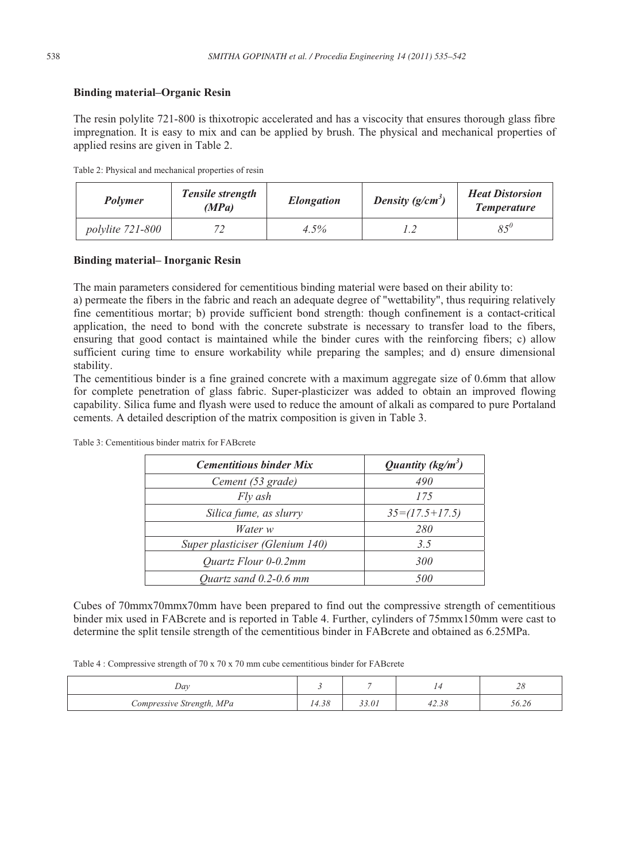## **Binding material–Organic Resin**

The resin polylite 721-800 is thixotropic accelerated and has a viscocity that ensures thorough glass fibre impregnation. It is easy to mix and can be applied by brush. The physical and mechanical properties of applied resins are given in Table 2.

|  |  | Table 2: Physical and mechanical properties of resin |
|--|--|------------------------------------------------------|
|--|--|------------------------------------------------------|

| Polymer                 | Tensile strength<br>(MPa) | <i>Elongation</i> | Density $(g/cm^3)$ | <b>Heat Distorsion</b><br><b>Temperature</b> |
|-------------------------|---------------------------|-------------------|--------------------|----------------------------------------------|
| <i>polylite</i> 721-800 |                           | 4.5%              |                    | $85^{\circ}$                                 |

#### **Binding material– Inorganic Resin**

The main parameters considered for cementitious binding material were based on their ability to:

a) permeate the fibers in the fabric and reach an adequate degree of "wettability", thus requiring relatively fine cementitious mortar; b) provide sufficient bond strength: though confinement is a contact-critical application, the need to bond with the concrete substrate is necessary to transfer load to the fibers, ensuring that good contact is maintained while the binder cures with the reinforcing fibers; c) allow sufficient curing time to ensure workability while preparing the samples; and d) ensure dimensional stability.

The cementitious binder is a fine grained concrete with a maximum aggregate size of 0.6mm that allow for complete penetration of glass fabric. Super-plasticizer was added to obtain an improved flowing capability. Silica fume and flyash were used to reduce the amount of alkali as compared to pure Portaland cements. A detailed description of the matrix composition is given in Table 3.

| <b>Cementitious binder Mix</b>  | Quantity $(kg/m^3)$ |
|---------------------------------|---------------------|
| Cement (53 grade)               | 490                 |
| Fly ash                         | 175                 |
| Silica fume, as slurry          | $35=(17.5+17.5)$    |
| Water w                         | 280                 |
| Super plasticiser (Glenium 140) | 3.5                 |
| <i>Ouartz Flour 0-0.2mm</i>     | 300                 |
| Quartz sand $0.2$ -0.6 mm       | 500                 |

Table 3: Cementitious binder matrix for FABcrete

Cubes of 70mmx70mmx70mm have been prepared to find out the compressive strength of cementitious binder mix used in FABcrete and is reported in Table 4. Further, cylinders of 75mmx150mm were cast to determine the split tensile strength of the cementitious binder in FABcrete and obtained as 6.25MPa.

Table 4 : Compressive strength of 70 x 70 x 70 mm cube cementitious binder for FABcrete

| Day                       |       |       |       | $\sim$<br>$\angle$ 0 |
|---------------------------|-------|-------|-------|----------------------|
| Compressive Strength, MPa | 14.38 | 33.01 | 42.38 | 56.26                |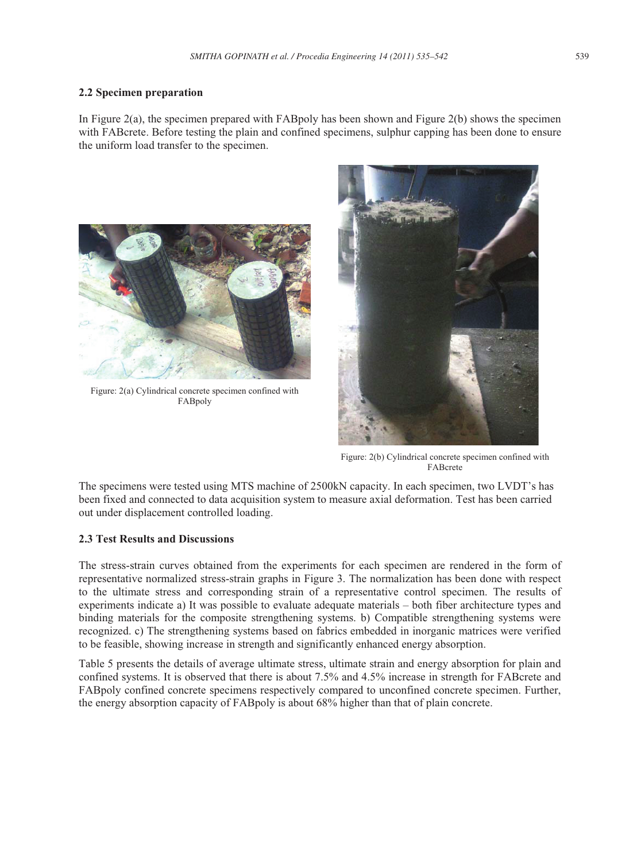## **2.2 Specimen preparation**

In Figure 2(a), the specimen prepared with FABpoly has been shown and Figure 2(b) shows the specimen with FABcrete. Before testing the plain and confined specimens, sulphur capping has been done to ensure the uniform load transfer to the specimen.



Figure: 2(a) Cylindrical concrete specimen confined with FABpoly



Figure: 2(b) Cylindrical concrete specimen confined with FABcrete

The specimens were tested using MTS machine of 2500kN capacity. In each specimen, two LVDT's has been fixed and connected to data acquisition system to measure axial deformation. Test has been carried out under displacement controlled loading.

## **2.3 Test Results and Discussions**

The stress-strain curves obtained from the experiments for each specimen are rendered in the form of representative normalized stress-strain graphs in Figure 3. The normalization has been done with respect to the ultimate stress and corresponding strain of a representative control specimen. The results of experiments indicate a) It was possible to evaluate adequate materials – both fiber architecture types and binding materials for the composite strengthening systems. b) Compatible strengthening systems were recognized. c) The strengthening systems based on fabrics embedded in inorganic matrices were verified to be feasible, showing increase in strength and significantly enhanced energy absorption.

Table 5 presents the details of average ultimate stress, ultimate strain and energy absorption for plain and confined systems. It is observed that there is about 7.5% and 4.5% increase in strength for FABcrete and FABpoly confined concrete specimens respectively compared to unconfined concrete specimen. Further, the energy absorption capacity of FABpoly is about 68% higher than that of plain concrete.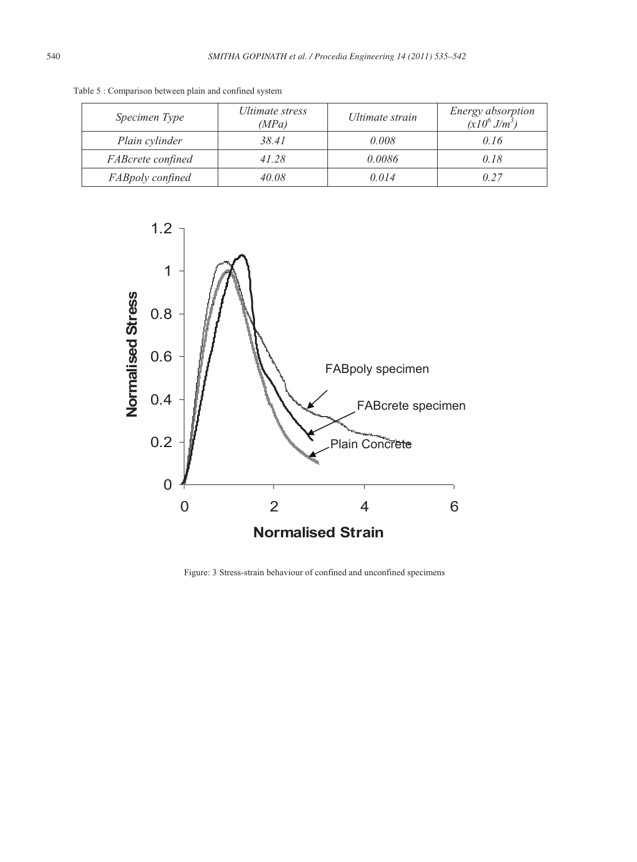| Specimen Type     | Ultimate stress<br>(MPa) | Ultimate strain | Energy absorption<br>$(x10^6 J/m^3)$ |
|-------------------|--------------------------|-----------------|--------------------------------------|
| Plain cylinder    | 38.41                    | 0.008           | 0.16                                 |
| FABcrete confined | 41.28                    | 0.0086          | 0.18                                 |
| FABpoly confined  | 40.08                    | 0.014           | 0.27                                 |

Table 5 : Comparison between plain and confined system



Figure: 3 Stress-strain behaviour of confined and unconfined specimens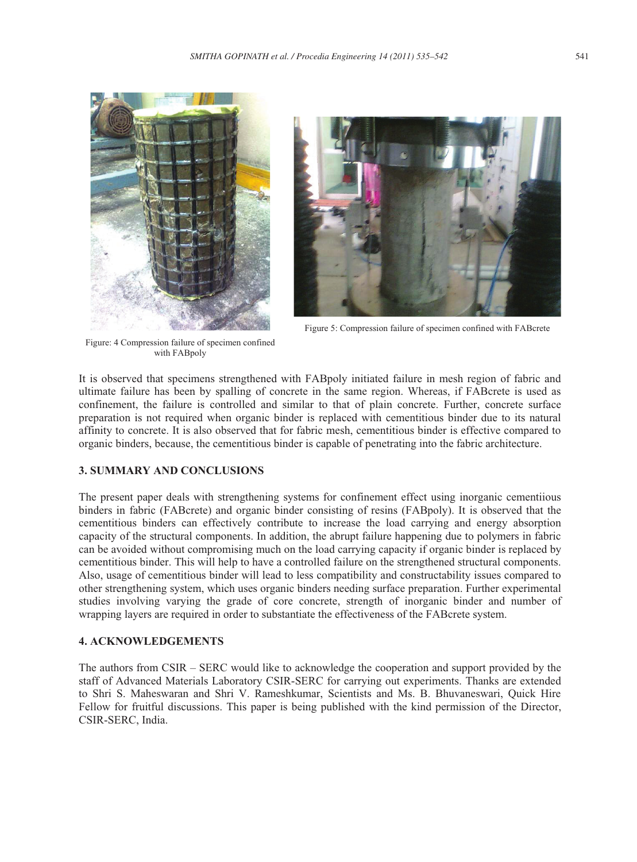



Figure 5: Compression failure of specimen confined with FABcrete

Figure: 4 Compression failure of specimen confined with FABpoly

It is observed that specimens strengthened with FABpoly initiated failure in mesh region of fabric and ultimate failure has been by spalling of concrete in the same region. Whereas, if FABcrete is used as confinement, the failure is controlled and similar to that of plain concrete. Further, concrete surface preparation is not required when organic binder is replaced with cementitious binder due to its natural affinity to concrete. It is also observed that for fabric mesh, cementitious binder is effective compared to organic binders, because, the cementitious binder is capable of penetrating into the fabric architecture.

## **3. SUMMARY AND CONCLUSIONS**

The present paper deals with strengthening systems for confinement effect using inorganic cementiious binders in fabric (FABcrete) and organic binder consisting of resins (FABpoly). It is observed that the cementitious binders can effectively contribute to increase the load carrying and energy absorption capacity of the structural components. In addition, the abrupt failure happening due to polymers in fabric can be avoided without compromising much on the load carrying capacity if organic binder is replaced by cementitious binder. This will help to have a controlled failure on the strengthened structural components. Also, usage of cementitious binder will lead to less compatibility and constructability issues compared to other strengthening system, which uses organic binders needing surface preparation. Further experimental studies involving varying the grade of core concrete, strength of inorganic binder and number of wrapping layers are required in order to substantiate the effectiveness of the FABcrete system.

## **4. ACKNOWLEDGEMENTS**

The authors from CSIR – SERC would like to acknowledge the cooperation and support provided by the staff of Advanced Materials Laboratory CSIR-SERC for carrying out experiments. Thanks are extended to Shri S. Maheswaran and Shri V. Rameshkumar, Scientists and Ms. B. Bhuvaneswari, Quick Hire Fellow for fruitful discussions. This paper is being published with the kind permission of the Director, CSIR-SERC, India.